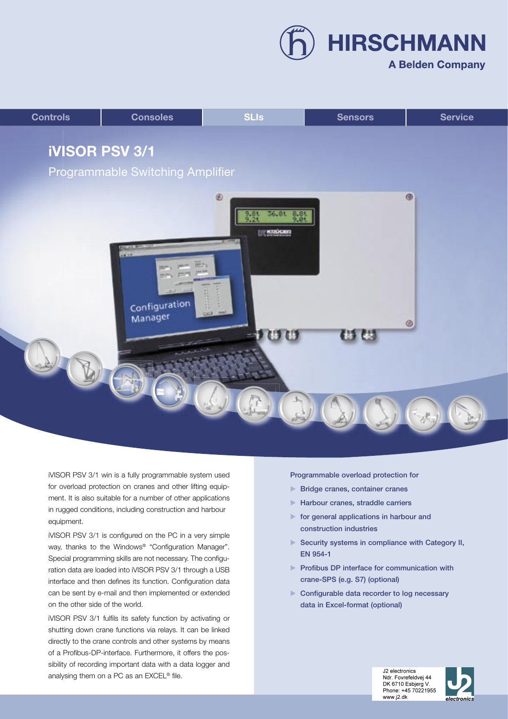**HIRSCHMANN** 

# **A Belden Company**



iVISOR PSV 3/1 win is a fully programmable system used for overload protection on cranes and other lifting equipment. It is also suitable for a number of other applications in rugged conditions, including construction and harbour equipment.

iVISOR PSV 3/1 is configured on the PC in a very simple way, thanks to the Windows® "Configuration Manager". Special programming skills are not necessary. The configuration data are loaded into iVISOR PSV 3/1 through a USB interface and then defines its function. Configuration data can be sent by e-mail and then implemented or extended on the other side of the world.

iVISOR PSV 3/1 fulfils its safety function by activating or shutting down crane functions via relays. It can be linked directly to the crane controls and other systems by means of a Profibus-DP-interface. Furthermore, it offers the possibility of recording important data with a data logger and analysing them on a PC as an EXCEL® file.

Programmable overload protection for

- **Bridge cranes, container cranes**
- **Harbour cranes, straddle carriers**
- $\blacktriangleright$  for general applications in harbour and construction industries
- Security systems in compliance with Category II, EN 954-1
- **Profibus DP interface for communication with** crane-SPS (e.g. S7) (optional)
- ▶ Configurable data recorder to log necessary data in Excel-format (optional)

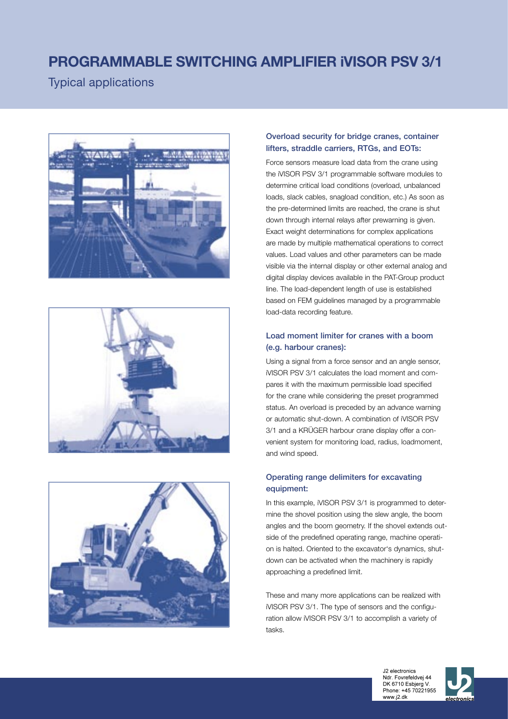# **PROGRAMMABLE SWITCHING AMPLIFIER iVISOR PSV 3/1**

Typical applications







# Overload security for bridge cranes, container lifters, straddle carriers, RTGs, and EOTs:

Force sensors measure load data from the crane using the iVISOR PSV 3/1 programmable software modules to determine critical load conditions (overload, unbalanced loads, slack cables, snagload condition, etc.) As soon as the pre-determined limits are reached, the crane is shut down through internal relays after prewarning is given. Exact weight determinations for complex applications are made by multiple mathematical operations to correct values. Load values and other parameters can be made visible via the internal display or other external analog and digital display devices available in the PAT-Group product line. The load-dependent length of use is established based on FEM guidelines managed by a programmable load-data recording feature.

# Load moment limiter for cranes with a boom (e.g. harbour cranes):

Using a signal from a force sensor and an angle sensor, iVISOR PSV 3/1 calculates the load moment and compares it with the maximum permissible load specified for the crane while considering the preset programmed status. An overload is preceded by an advance warning or automatic shut-down. A combination of iVISOR PSV 3/1 and a KRÜGER harbour crane display offer a convenient system for monitoring load, radius, loadmoment, and wind speed.

# Operating range delimiters for excavating equipment:

In this example, iVISOR PSV 3/1 is programmed to determine the shovel position using the slew angle, the boom angles and the boom geometry. If the shovel extends outside of the predefined operating range, machine operation is halted. Oriented to the excavator's dynamics, shutdown can be activated when the machinery is rapidly approaching a predefined limit.

These and many more applications can be realized with iVISOR PSV 3/1. The type of sensors and the configuration allow iVISOR PSV 3/1 to accomplish a variety of tasks.



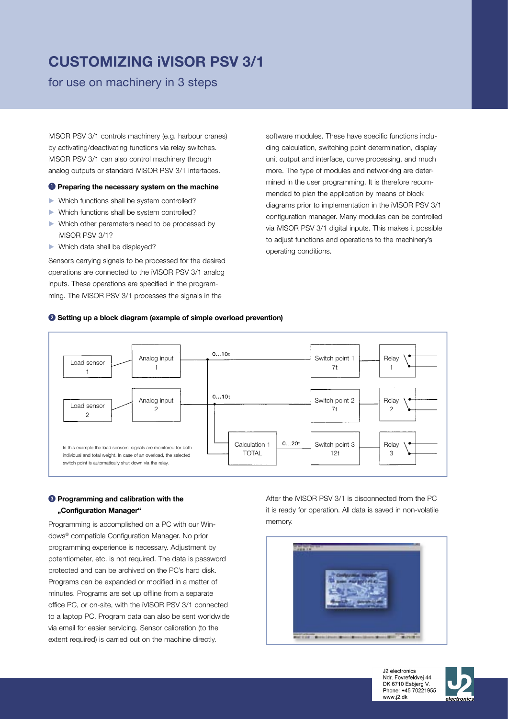# **CUSTOMIZING iVISOR PSV 3/1**

for use on machinery in 3 steps

iVISOR PSV 3/1 controls machinery (e.g. harbour cranes) by activating/deactivating functions via relay switches. iVISOR PSV 3/1 can also control machinery through analog outputs or standard iVISOR PSV 3/1 interfaces.

## **P** Preparing the necessary system on the machine

- Which functions shall be system controlled?
- Which functions shall be system controlled?
- Which other parameters need to be processed by iVISOR PSV 3/1?
- Which data shall be displayed?

Sensors carrying signals to be processed for the desired operations are connected to the iVISOR PSV 3/1 analog inputs. These operations are specified in the programming. The iVISOR PSV 3/1 processes the signals in the

software modules. These have specific functions including calculation, switching point determination, display unit output and interface, curve processing, and much more. The type of modules and networking are determined in the user programming. It is therefore recommended to plan the application by means of block diagrams prior to implementation in the iVISOR PSV 3/1 configuration manager. Many modules can be controlled via iVISOR PSV 3/1 digital inputs. This makes it possible to adjust functions and operations to the machinery's operating conditions.

## **<sup>2</sup>** Setting up a block diagram (example of simple overload prevention)



## **<sup>2</sup>** Programming and calibration with the **"Configuration Manager"**

Programming is accomplished on a PC with our Windows® compatible Configuration Manager. No prior programming experience is necessary. Adjustment by potentiometer, etc. is not required. The data is password protected and can be archived on the PC's hard disk. Programs can be expanded or modified in a matter of minutes. Programs are set up offline from a separate office PC, or on-site, with the iVISOR PSV 3/1 connected to a laptop PC. Program data can also be sent worldwide via email for easier servicing. Sensor calibration (to the extent required) is carried out on the machine directly.

After the iVISOR PSV 3/1 is disconnected from the PC it is ready for operation. All data is saved in non-volatile memory.